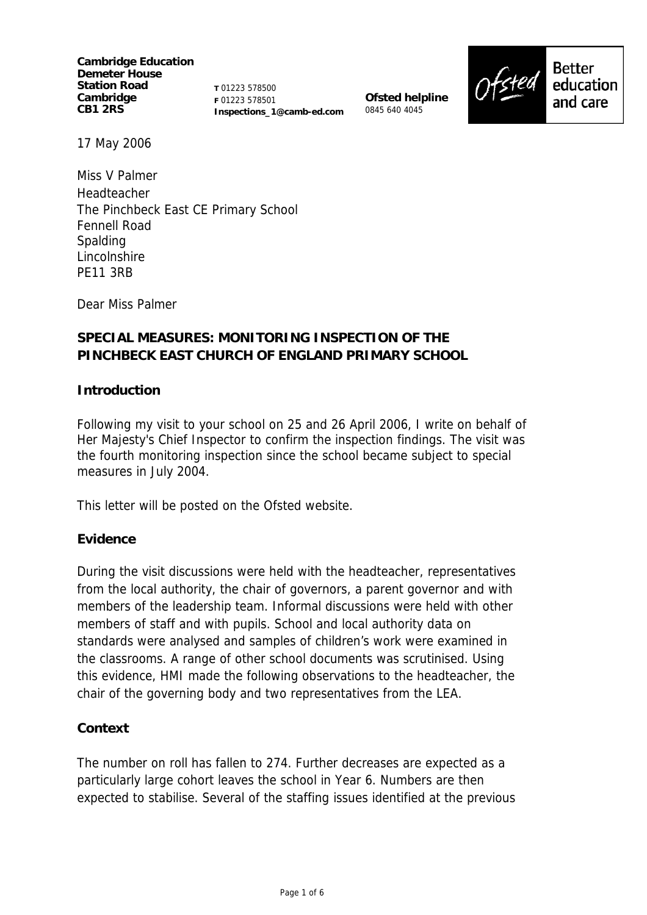**Cambridge Education Demeter House Station Road Cambridge CB1 2RS** 

**T** 01223 578500 **F** 01223 578501 **Inspections\_1@camb-ed.com**

**Ofsted helpline** 0845 640 4045



17 May 2006

Miss V Palmer Headteacher The Pinchbeck East CE Primary School Fennell Road Spalding Lincolnshire PE11 3RB

Dear Miss Palmer

# **SPECIAL MEASURES: MONITORING INSPECTION OF THE PINCHBECK EAST CHURCH OF ENGLAND PRIMARY SCHOOL**

#### **Introduction**

Following my visit to your school on 25 and 26 April 2006, I write on behalf of Her Majesty's Chief Inspector to confirm the inspection findings. The visit was the fourth monitoring inspection since the school became subject to special measures in July 2004.

This letter will be posted on the Ofsted website.

#### **Evidence**

During the visit discussions were held with the headteacher, representatives from the local authority, the chair of governors, a parent governor and with members of the leadership team. Informal discussions were held with other members of staff and with pupils. School and local authority data on standards were analysed and samples of children's work were examined in the classrooms. A range of other school documents was scrutinised. Using this evidence, HMI made the following observations to the headteacher, the chair of the governing body and two representatives from the LEA.

#### **Context**

The number on roll has fallen to 274. Further decreases are expected as a particularly large cohort leaves the school in Year 6. Numbers are then expected to stabilise. Several of the staffing issues identified at the previous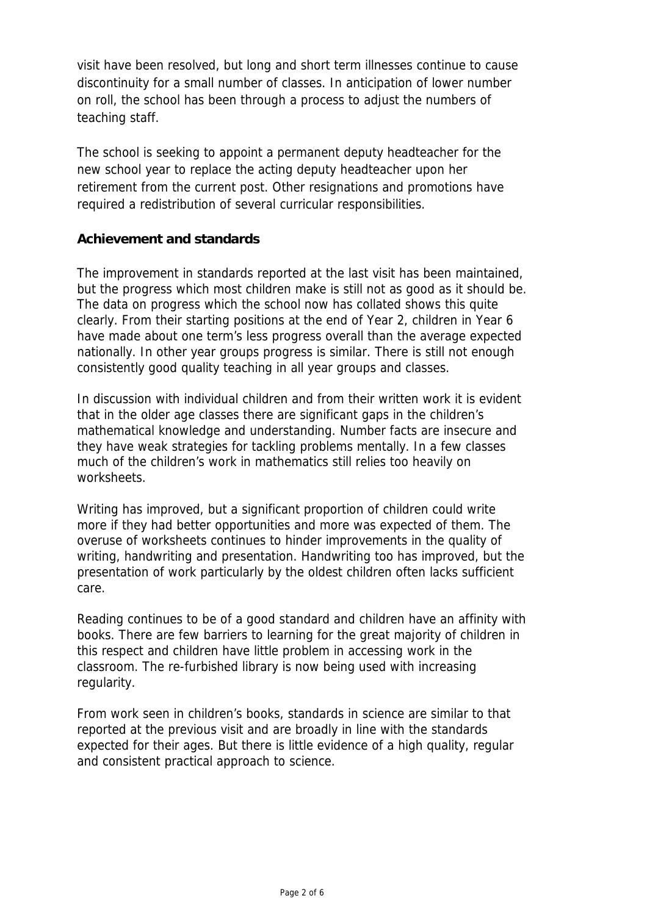visit have been resolved, but long and short term illnesses continue to cause discontinuity for a small number of classes. In anticipation of lower number on roll, the school has been through a process to adjust the numbers of teaching staff.

The school is seeking to appoint a permanent deputy headteacher for the new school year to replace the acting deputy headteacher upon her retirement from the current post. Other resignations and promotions have required a redistribution of several curricular responsibilities.

### **Achievement and standards**

The improvement in standards reported at the last visit has been maintained, but the progress which most children make is still not as good as it should be. The data on progress which the school now has collated shows this quite clearly. From their starting positions at the end of Year 2, children in Year 6 have made about one term's less progress overall than the average expected nationally. In other year groups progress is similar. There is still not enough consistently good quality teaching in all year groups and classes.

In discussion with individual children and from their written work it is evident that in the older age classes there are significant gaps in the children's mathematical knowledge and understanding. Number facts are insecure and they have weak strategies for tackling problems mentally. In a few classes much of the children's work in mathematics still relies too heavily on worksheets.

Writing has improved, but a significant proportion of children could write more if they had better opportunities and more was expected of them. The overuse of worksheets continues to hinder improvements in the quality of writing, handwriting and presentation. Handwriting too has improved, but the presentation of work particularly by the oldest children often lacks sufficient care.

Reading continues to be of a good standard and children have an affinity with books. There are few barriers to learning for the great majority of children in this respect and children have little problem in accessing work in the classroom. The re-furbished library is now being used with increasing regularity.

From work seen in children's books, standards in science are similar to that reported at the previous visit and are broadly in line with the standards expected for their ages. But there is little evidence of a high quality, regular and consistent practical approach to science.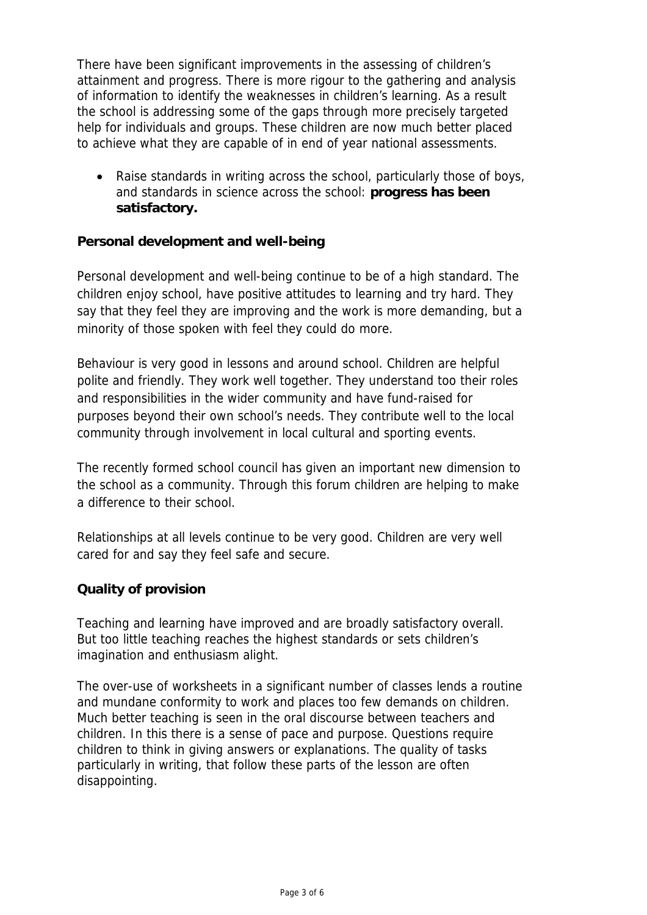There have been significant improvements in the assessing of children's attainment and progress. There is more rigour to the gathering and analysis of information to identify the weaknesses in children's learning. As a result the school is addressing some of the gaps through more precisely targeted help for individuals and groups. These children are now much better placed to achieve what they are capable of in end of year national assessments.

• Raise standards in writing across the school, particularly those of boys, and standards in science across the school: **progress has been satisfactory.**

# **Personal development and well-being**

Personal development and well-being continue to be of a high standard. The children enjoy school, have positive attitudes to learning and try hard. They say that they feel they are improving and the work is more demanding, but a minority of those spoken with feel they could do more.

Behaviour is very good in lessons and around school. Children are helpful polite and friendly. They work well together. They understand too their roles and responsibilities in the wider community and have fund-raised for purposes beyond their own school's needs. They contribute well to the local community through involvement in local cultural and sporting events.

The recently formed school council has given an important new dimension to the school as a community. Through this forum children are helping to make a difference to their school.

Relationships at all levels continue to be very good. Children are very well cared for and say they feel safe and secure.

# **Quality of provision**

Teaching and learning have improved and are broadly satisfactory overall. But too little teaching reaches the highest standards or sets children's imagination and enthusiasm alight.

The over-use of worksheets in a significant number of classes lends a routine and mundane conformity to work and places too few demands on children. Much better teaching is seen in the oral discourse between teachers and children. In this there is a sense of pace and purpose. Questions require children to think in giving answers or explanations. The quality of tasks particularly in writing, that follow these parts of the lesson are often disappointing.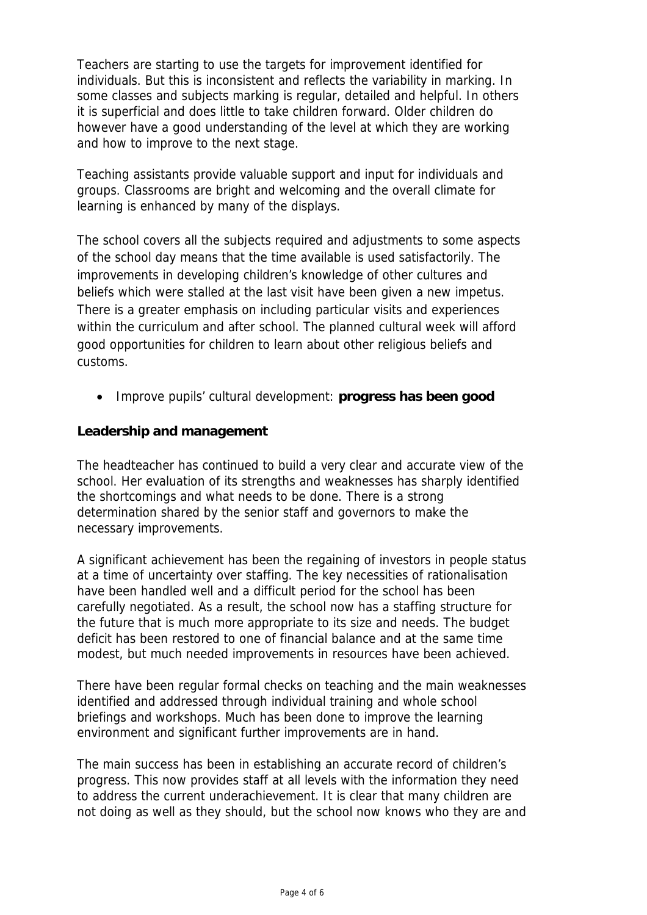Teachers are starting to use the targets for improvement identified for individuals. But this is inconsistent and reflects the variability in marking. In some classes and subjects marking is regular, detailed and helpful. In others it is superficial and does little to take children forward. Older children do however have a good understanding of the level at which they are working and how to improve to the next stage.

Teaching assistants provide valuable support and input for individuals and groups. Classrooms are bright and welcoming and the overall climate for learning is enhanced by many of the displays.

The school covers all the subjects required and adjustments to some aspects of the school day means that the time available is used satisfactorily. The improvements in developing children's knowledge of other cultures and beliefs which were stalled at the last visit have been given a new impetus. There is a greater emphasis on including particular visits and experiences within the curriculum and after school. The planned cultural week will afford good opportunities for children to learn about other religious beliefs and customs.

• Improve pupils' cultural development: **progress has been good** 

# **Leadership and management**

The headteacher has continued to build a very clear and accurate view of the school. Her evaluation of its strengths and weaknesses has sharply identified the shortcomings and what needs to be done. There is a strong determination shared by the senior staff and governors to make the necessary improvements.

A significant achievement has been the regaining of investors in people status at a time of uncertainty over staffing. The key necessities of rationalisation have been handled well and a difficult period for the school has been carefully negotiated. As a result, the school now has a staffing structure for the future that is much more appropriate to its size and needs. The budget deficit has been restored to one of financial balance and at the same time modest, but much needed improvements in resources have been achieved.

There have been regular formal checks on teaching and the main weaknesses identified and addressed through individual training and whole school briefings and workshops. Much has been done to improve the learning environment and significant further improvements are in hand.

The main success has been in establishing an accurate record of children's progress. This now provides staff at all levels with the information they need to address the current underachievement. It is clear that many children are not doing as well as they should, but the school now knows who they are and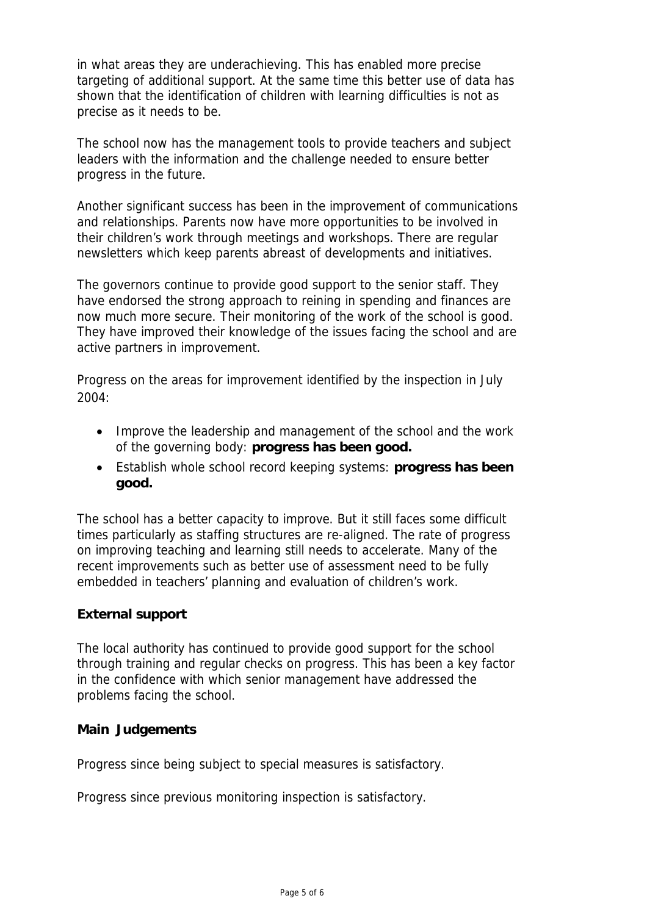in what areas they are underachieving. This has enabled more precise targeting of additional support. At the same time this better use of data has shown that the identification of children with learning difficulties is not as precise as it needs to be.

The school now has the management tools to provide teachers and subject leaders with the information and the challenge needed to ensure better progress in the future.

Another significant success has been in the improvement of communications and relationships. Parents now have more opportunities to be involved in their children's work through meetings and workshops. There are regular newsletters which keep parents abreast of developments and initiatives.

The governors continue to provide good support to the senior staff. They have endorsed the strong approach to reining in spending and finances are now much more secure. Their monitoring of the work of the school is good. They have improved their knowledge of the issues facing the school and are active partners in improvement.

Progress on the areas for improvement identified by the inspection in July 2004:

- Improve the leadership and management of the school and the work of the governing body: **progress has been good.**
- Establish whole school record keeping systems: **progress has been good.**

The school has a better capacity to improve. But it still faces some difficult times particularly as staffing structures are re-aligned. The rate of progress on improving teaching and learning still needs to accelerate. Many of the recent improvements such as better use of assessment need to be fully embedded in teachers' planning and evaluation of children's work.

# **External support**

The local authority has continued to provide good support for the school through training and regular checks on progress. This has been a key factor in the confidence with which senior management have addressed the problems facing the school.

#### **Main Judgements**

Progress since being subject to special measures is satisfactory.

Progress since previous monitoring inspection is satisfactory.